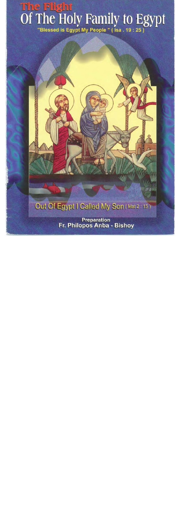# The Flight Of The Holy Family to Egypt

Out Of Egypt I Called My Son (Mat 2:15)

**Preparation** Fr. Philopos Anba - Bishoy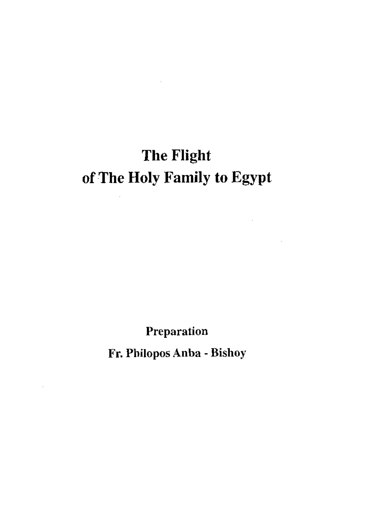# **The Flight of The Holy Family to Egypt**

 $\sim 10^{-10}$ 

 $\mathcal{L}^{\text{max}}_{\text{max}}$  ,  $\mathcal{L}^{\text{max}}_{\text{max}}$ 

**Preparation** 

**Fr. Philopos Anba** - **Bishoy**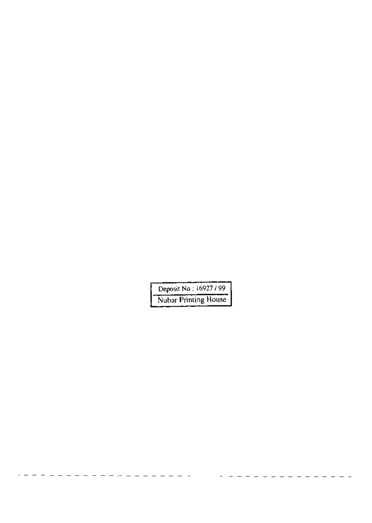Deposit No: 16927/99<br>Nubar Printing House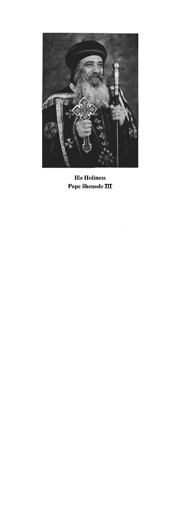

**His Holiness** Pope Shenode III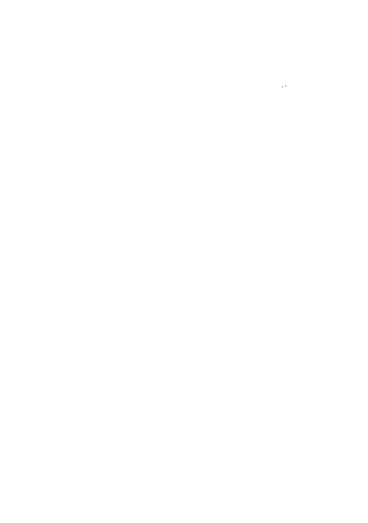$\mathcal{L}^{\text{max}}_{\text{max}}$  and  $\mathcal{L}^{\text{max}}_{\text{max}}$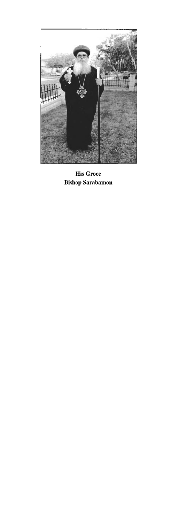

**His Groce Bishop Sarabamon**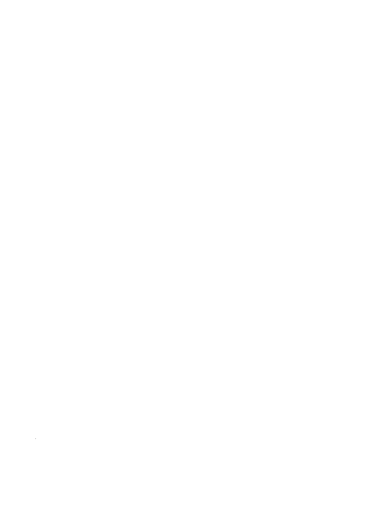$\mathcal{A}^{\text{max}}_{\text{max}}$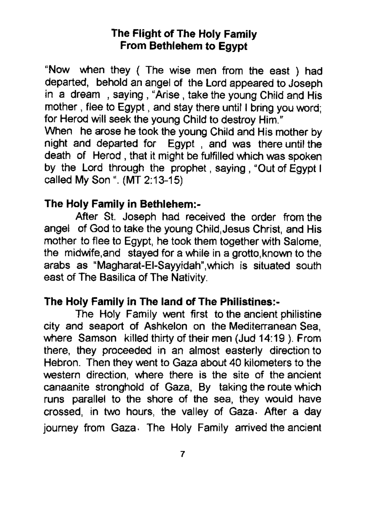#### **The Flight of The Holy Family From Bethlehem to Egypt**

"Now when they ( The wise men from the east ) had departed, behold an angel of the Lord appeared to Joseph in a dream , saying , "Arise , take the young Child and His mother , flee to Egypt , and stay there until I bring you word; for Herod will seek the young Child to destroy Him."

When he arose he took the young Child and His mother by night and departed for Egypt , and was there until the death of Herod , that it might be fulfilled which was spoken by the Lord through the prophet, saying, "Out of Egypt I called My Son ". (MT 2:13-15)

#### **The Holy Family in Bethlehem:-**

After St. Joseph had received the order from the angel of God to take the young Child,Jesus Christ, and His mother to flee to Egypt, he took them together with Salome, the midwife,and stayed for a while in a grotto,known to the arabs as "Magharat-El-Sayyidah",which is situated south east of The Basilica of The Nativity.

#### **The Holy Family in The land of The Phi1istines:-**

The Holy Family went first to the ancient philistine city and seaport of Ashkelon on the Mediterranean Sea, where Samson killed thirty of their men (Jud 14:19). From there, they proceeded in an almost easterly direction to Hebron. Then they went to Gaza about 40 kilometers to the western direction, where there is the site of the ancient canaanite stronghold of Gaza, By taking the route which runs parallel to the shore of the sea, they would have crossed, in two hours, the valley of Gaza. After a day journey from Gaza. The Holy Family arrived the ancient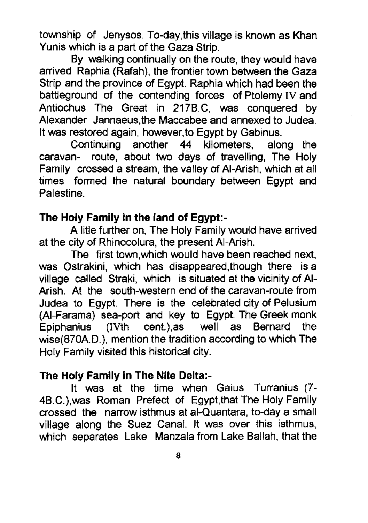township of Jenysos. To-day,this village is known as Khan Yunis which is a part of the Gaza Strip.

By walking continually on the route, they would have arrived Raphia (Rafah), the frontier town between the Gaza Strip and the province of Egypt. Raphia which had been the battleground of the contending forces of Ptolemy IV and Antiochus The Great in 217B.C, was conquered by Alexander Jannaeus, the Maccabee and annexed to Judea. It was restored again, however,to Egypt by Gabinus.

Continuing another 44 kilometers, along the caravan- route, about two days of travelling, The Holy Family crossed a stream, the valley of AI-Arish, which at all times formed the natural boundary between Egypt and Palestine.

#### **The Holy Family in the land of Egypt:-**

A litle further on, The Holy Family would have arrived at the city of Rhinocolura, the present AI-Arish.

The first town,which would have been reached next, was Ostrakini, which has disappeared, though there is a village called Straki, which is situated at the vicinity of AI-Arish. At the south-western end of the caravan-route from Judea to Egypt. There is the celebrated city of Pelusium (Al-Farama) sea-port and key to Egypt. The Greek monk<br>Foiphanius (IVth cent) as well as Bernard the Epiphanius (1Vth cent.),as well as Bernard the wise(870A.D.), mention the tradition according to which The Holy Family visited this historical city.

#### **The Holy Family in The Nile Delta:-**

It was at the time when Gaius Turranius (7- 4B.C.),was Roman Prefect of Egypt,that The Holy Family crossed the narrow isthmus at al-Quantara, to-day a small village along the Suez Canal. It was over this isthmus, which separates Lake Manzala from Lake Ballah, that the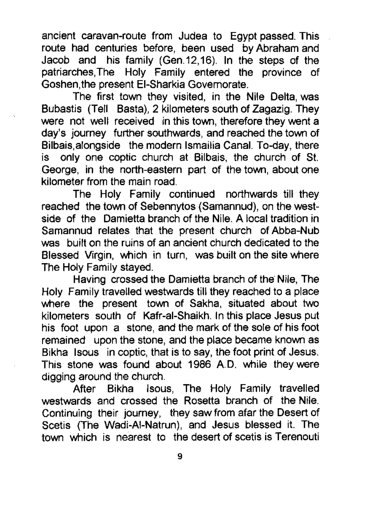ancient caravan-route from Judea to Egypt passed. This route had centuries before, been used by Abraham and Jacob and his family (Gen.12,16). In the steps of the patriarches,The Holy Family entered the province of Goshen, the present El-Sharkia Governorate.

The first town they visited, in the Nile Delta, was Bubastis (Tell Basta), 2 kilometers south of Zagazig. They were not well received in this town, therefore they went a day's journey further southwards, and reached the town of Bilbais,alongside the modern lsmailia Canal. To-day, there is only one coptic church at Bilbais, the church of St. George, in the north-eastern part of the town, about one kilometer from the main road.

The Holy Family continued northwards till they reached the town of Sebennytos (Samannud), on the westside of the Damietta branch of the Nile. A local tradition in Samannud relates that the present church of Abba-Nub was built on the ruins of an ancient church dedicated to the Blessed Virgin, which in turn, was built on the site where The Holy Family stayed.

Having crossed the Damietta branch of the Nile. The Holy Family travelled westwards till they reached to a place where the present town of Sakha, situated about two kilometers south of Kafr-al-Shaikh. In this place Jesus put his foot upon a stone, and the mark of the sole of his foot remained upon the stone, and the place became known as Bikha Isous in coptic, that is to say, the foot print of Jesus. This stone was found about 1986 A.D. while they were digging around the church.<br>After Bikha Isou

Isous, The Holy Family travelled westwards and crossed the Rosetta branch of the Nile. Continuing their journey, they saw from afar the Desert of Scetis (The Wadi-AI-Natrun), and Jesus blessed it. The town which is nearest to the desert of scetis is Terenouti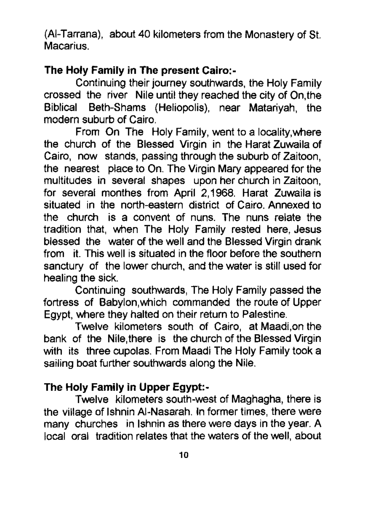(AI-Tarrana), about 40 kilometers from the Monastery of St. Macarius.

### **The Holy Family in The present Cairo:-**

Continuing their journey southwards, the Holy Family crossed the river Nile until they reached the city of On, the Biblical Beth-Shams (Heliopolis), near Matariyah, the modern suburb of Cairo.

From On The Holy Family, went to a locality,where the church of the Blessed Virgin in the Harat Zuwaila of Cairo, now stands, passing through the suburb of Zaitoon, the nearest place to On. The Virgin Mary appeared for the multitudes in several shapes upon her church in Zaitoon, for several monthes from April 2,1968. Harat Zuwaila is situated in the north-eastern district of Cairo. Annexed to the church is a convent of nuns. The nuns relate the tradition that, when The Holy Family rested here, Jesus blessed the water of the well and the Blessed Virgin drank from it. This well is situated in the floor before the southern sanctury of the lower church, and the water is still used for healing the sick.

Continuing southwards, The Holy Family passed the fortress of Babylon,which commanded the route of Upper Egypt, where they halted on their return to Palestine.

Twelve kilometers south of Cairo, at Maadi,on the bank of the Nile, there is the church of the Blessed Virgin with its three cupolas. From Maadi The Holy Family took a sailing boat further southwards along the Nile.

## **The Holy Family in Upper Egypt:-**

Twelve kilometers south-west of Maghagha, there is the village of lshnin AI-Nasarah. In former times, there were many churches in lshnin as there were days in the year. A local oral tradition relates that the waters of the well, about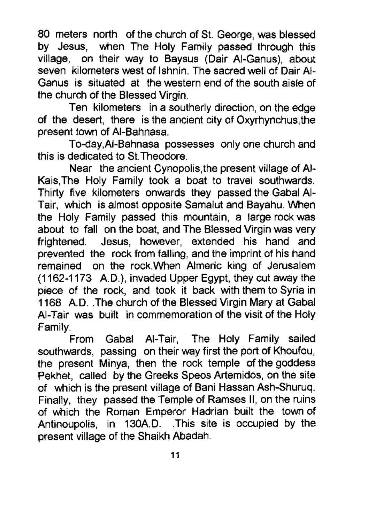80 meters north of the church of St. George, was blessed by Jesus, when The Holy Family passed through this village, on their way to Baysus (Dair AI-Ganus), about seven kilometers west of Ishnin. The sacred well of Dair AI-Ganus is situated at the western end of the south aisle of the church of the Blessed Virgin.

Ten kilometers in a southerly direction, on the edge of the desert, there is the ancient city of Oxyrhynchus,the present town of AI-Bahnasa.

To-day,Al-Bahnasa possesses only one church and this is dedicated to St.Theodore.

Near the ancient Cynopolis,the present village of AI-Kais,The Holy Family took a boat to travel southwards. Thirty five kilometers onwards they passed the Gabal AI-Tair, which is almost opposite Samalut and Bayahu. When the Holy Family passed this mountain, a large rock was about to fall on the boat, and The Blessed Virgin was very frightened. Jesus, however, extended his hand and prevented the rock from falling, and the imprint of his hand remained on the rock.When Almeric king of Jerusalem (1162-1173 A.D.), invaded Upper Egypt, they cut away the piece of the rock, and took it back with them to Syria in 1168 A.D. .The church of the Blessed Virgin Mary at Gabal AI-Tair was built in commemoration of the visit of the Holy Family.

From Gabal AI-Tair, The Holy Family sailed southwards, passing on their way first the port of Khoufou, the present Minya, then the rock temple of the goddess Pekhet, called by the Greeks Speos Artemidos, on the site of which is the present village of Bani Hassan Ash-Shuruq. Finally, they passed the Temple of Ramses **II,** on the ruins of which the Roman Emperor Hadrian built the town of Antinoupolis, in 130A.D. .This site is occupied by the present village of the Shaikh Abadah.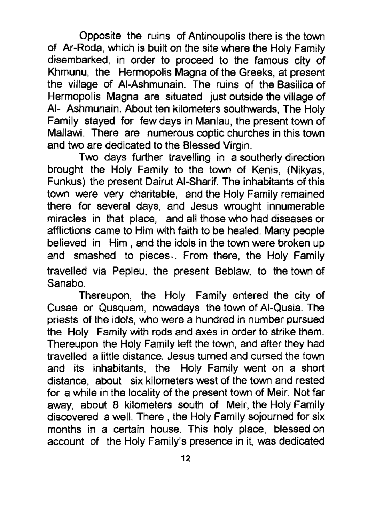Opposite the ruins of Antinoupolis there is the town of Ar-Roda, which is built on the site where the Holy Family disembarked, in order to proceed to the famous city of Khmunu, the Hermopolis Magna of the Greeks, at present the village of AI-Ashmunain. The ruins of the Basilica of Hermopolis Magna are situated just outside the village of AI- Ashmunain. About ten kilometers southwards, The Holy Family stayed for few days in Manlau, the present town of Mallawi. There are numerous coptic churches in this town and two are dedicated to the Blessed Virgin.

Two days further travelling in a southerly direction brought the Holy Family to the town of Kenis, (Nikyas, Funkus) the present Dairut AI-Sharif. The inhabitants of this town were very charitable, and the Holy Family remained there for several days, and Jesus wrought innumerable miracles in that place, and all those who had diseases or afflictions came to Him with faith to be healed. Many people believed in Him , and the idols in the town were broken up and smashed to pieces.. From there, the Holy Family travelled via Pepleu, the present Beblaw, to the town of Sanabo.

Thereupon, the Holy Family entered the city of Cusae or Qusquam, nowadays the town of AI-Qusia. The priests of the idols, who were a hundred in number pursued the Holy Family with rods and axes in order to strike them. Thereupon the Holy Family left the town, and after they had travelled a little distance, Jesus turned and cursed the town and its inhabitants, the Holy Family went on a short distance, about six kilometers west of the town and rested for a while in the locality of the present town of Meir. Not far away, about 8 kilometers south of Meir, the Holy Family discovered a well. There , the Holy Family sojourned for six months in a certain house. This holy place, blessed on account of the Holy Family's presence in it, was dedicated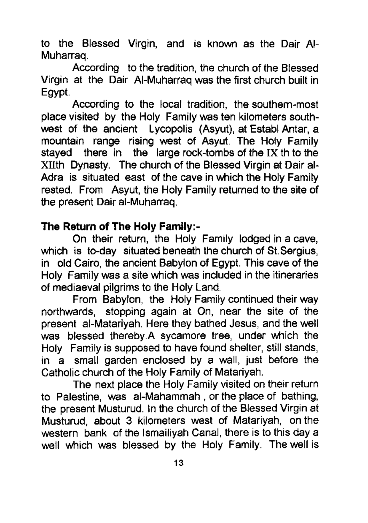to the Blessed Virgin, and is known as the Dair AI-Muharraq.

According to the tradition, the church of the Blessed Virgin at the Dair AI-Muharraq was the first church built in Egypt.<br>According to the local tradition, the southern-most

place visited by the Holy Family was ten kilometers southwest of the ancient Lycopolis (Asyut), at Establ Antar, a mountain range rising west of Asyut. The Holy Family stayed there in the large rock-tombs of the IX th to the XIIth Dynasty. The church of the Blessed Virgin at Dair al-Adra is situated east of the cave in which the Holy Family rested. From Asyut, the Holy Family returned to the site of the present Dair al-Muharraq.

#### **The Return of The Holy Family:-**

On their return, the Holy Family lodged in a cave, which is to-day situated beneath the church of St. Sergius, in old Cairo, the ancient Babylon of Egypt. This cave of the Holy Family was a site which was included in the itineraries of mediaeval pilgrims to the Holy Land.

From Babylon, the Holy Family continued their way northwards, stopping again at On, near the site of the present al-Matariyah. Here they bathed Jesus, and the well was blessed thereby.A sycamore tree, under which the Holy Family is supposed to have found shelter, still stands, in a small garden enclosed by a wall, just before the Catholic church of the Holy Family of Matariyah.

The next place the Holy Family visited on their return to Palestine, was al-Mahammah , or the place of bathing, the present Musturud. In the church of the Blessed Virgin at Musturud, about 3 kilometers west of Matariyah, on the western bank of the lsmailiyah Canal, there is to this day a well which was blessed by the Holy Family. The well is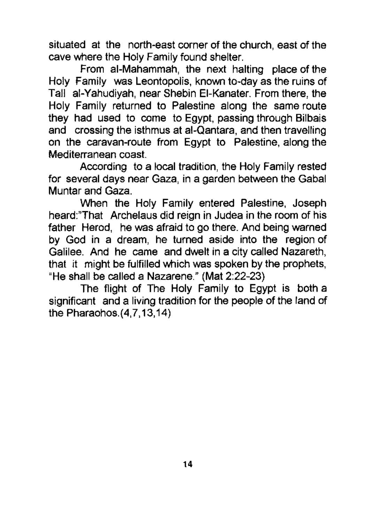situated at the north-east corner of the church, east of the cave where the Holy Family found shelter.

From al-Mahammah, the next halting place of the Holy Family was Leontopolis, known to-day as the ruins of Tall al-Yahudiyah, near Shebin El-Kanater. From there, the Holy Family returned to Palestine along the same route they had used to come to Egypt, passing through Bilbais and crossing the isthmus at al-Qantara, and then travelling on the caravan-route from Egypt to Palestine, along the Mediterranean coast.

According to a local tradition, the Holy Family rested for several days near Gaza, in a garden between the Gabal Muntar and Gaza.

When the Holy Family entered Palestine, Joseph heard:"That Archelaus did reign in Judea in the room of his father Herod, he was afraid to go there. And being warned by God in a dream, he turned aside into the region of Galilee. And he came and dwelt in a city called Nazareth, that it might be fulfilled which was spoken by the prophets, "He shall be called a Nazarene." (Mat 2:22-23)

The flight of The Holy Family to Egypt is both a significant and a living tradition for the people of the land of the Pharaohos.(4,7,13,14)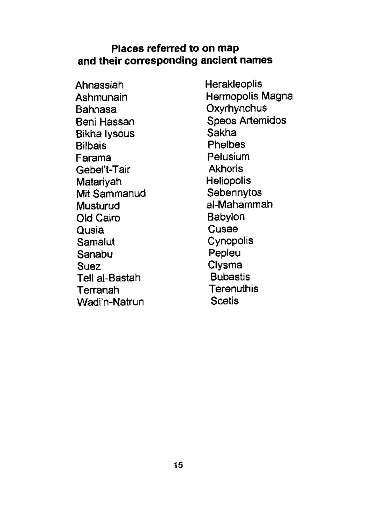#### Places referred to on map and their corresponding ancient names

Ahnassiah Ashmunain **Bahnasa Beni Hassan Bikha Ivsous Bilbais** Farama Gebel't-Tair Matariyah Mit Sammanud Musturud Old Cairo Qusia Samalut Sanabu Suez Tell al-Bastah Terranah Wadi'n-Natrun

Herakleoplis Hermopolis Magna Oxyrhynchus Speos Artemidos Sakha **Phelbes Pelusium Akhoris Heliopolis** Sebennytos al-Mahammah **Babvion** Cusae Cynopolis Pepleu Clysma **Bubastis** Terenuthis **Scetis**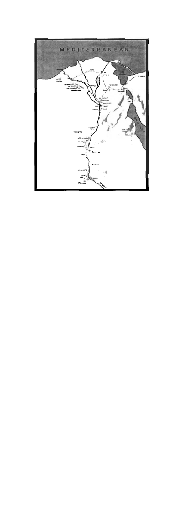